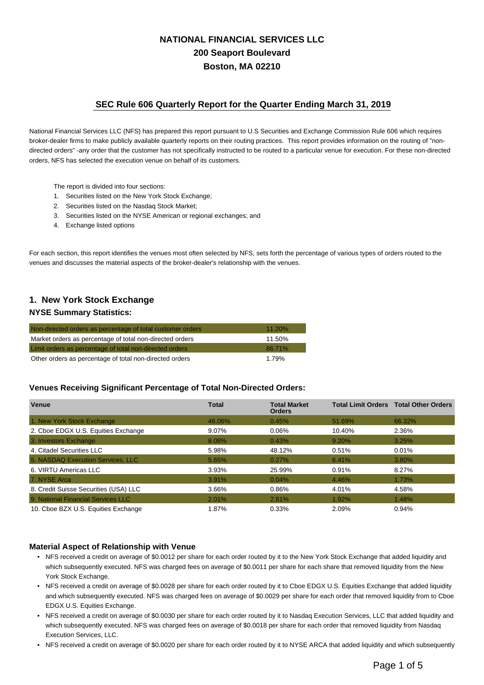# **NATIONAL FINANCIAL SERVICES LLC 200 Seaport Boulevard Boston, MA 02210**

## **SEC Rule 606 Quarterly Report for the Quarter Ending March 31, 2019**

National Financial Services LLC (NFS) has prepared this report pursuant to U.S Securities and Exchange Commission Rule 606 which requires broker-dealer firms to make publicly available quarterly reports on their routing practices. This report provides information on the routing of "nondirected orders" -any order that the customer has not specifically instructed to be routed to a particular venue for execution. For these non-directed orders, NFS has selected the execution venue on behalf of its customers.

- The report is divided into four sections:
- 1. Securities listed on the New York Stock Exchange;
- 2. Securities listed on the Nasdaq Stock Market;
- 3. Securities listed on the NYSE American or regional exchanges; and
- 4. Exchange listed options

For each section, this report identifies the venues most often selected by NFS, sets forth the percentage of various types of orders routed to the venues and discusses the material aspects of the broker-dealer's relationship with the venues.

# **1. New York Stock Exchange**

#### **NYSE Summary Statistics:**

| Non-directed orders as percentage of total customer orders | $11.20\%$ |
|------------------------------------------------------------|-----------|
| Market orders as percentage of total non-directed orders   | 11.50%    |
| Limit orders as percentage of total non-directed orders    | 86.71%    |
| Other orders as percentage of total non-directed orders    | 1.79%     |

#### **Venues Receiving Significant Percentage of Total Non-Directed Orders:**

| <b>Venue</b>                          | <b>Total</b> | <b>Total Market</b><br><b>Orders</b> |        | <b>Total Limit Orders Total Other Orders</b> |
|---------------------------------------|--------------|--------------------------------------|--------|----------------------------------------------|
| 1. New York Stock Exchange            | 46.06%       | 0.45%                                | 51.69% | 66.32%                                       |
| 2. Cboe EDGX U.S. Equities Exchange   | 9.07%        | 0.06%                                | 10.40% | 2.36%                                        |
| 3. Investors Exchange                 | 8.08%        | 0.43%                                | 9.20%  | 3.25%                                        |
| 4. Citadel Securities LLC             | 5.98%        | 48.12%                               | 0.51%  | 0.01%                                        |
| 5. NASDAQ Execution Services, LLC     | 5.65%        | 0.27%                                | 6.41%  | 3.80%                                        |
| 6. VIRTU Americas LLC                 | 3.93%        | 25.99%                               | 0.91%  | 8.27%                                        |
| 7. NYSE Arca                          | 3.91%        | 0.04%                                | 4.46%  | 1.73%                                        |
| 8. Credit Suisse Securities (USA) LLC | 3.66%        | 0.86%                                | 4.01%  | 4.58%                                        |
| 9. National Financial Services LLC    | 2.01%        | 2.81%                                | 1.92%  | 1.48%                                        |
| 10. Cboe BZX U.S. Equities Exchange   | 1.87%        | 0.33%                                | 2.09%  | 0.94%                                        |

### **Material Aspect of Relationship with Venue**

- NFS received a credit on average of \$0.0012 per share for each order routed by it to the New York Stock Exchange that added liquidity and which subsequently executed. NFS was charged fees on average of \$0.0011 per share for each share that removed liquidity from the New York Stock Exchange.
- NFS received a credit on average of \$0.0028 per share for each order routed by it to Cboe EDGX U.S. Equities Exchange that added liquidity and which subsequently executed. NFS was charged fees on average of \$0.0029 per share for each order that removed liquidity from to Cboe EDGX U.S. Equities Exchange.
- NFS received a credit on average of \$0.0030 per share for each order routed by it to Nasdaq Execution Services, LLC that added liquidity and which subsequently executed. NFS was charged fees on average of \$0.0018 per share for each order that removed liquidity from Nasdaq Execution Services, LLC.
- NFS received a credit on average of \$0.0020 per share for each order routed by it to NYSE ARCA that added liquidity and which subsequently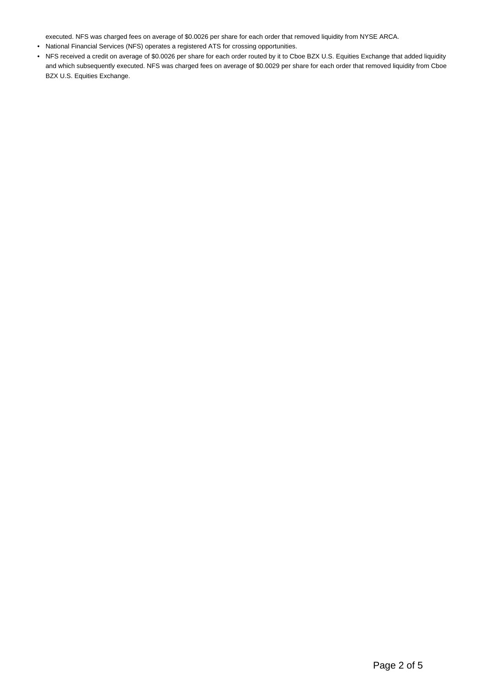executed. NFS was charged fees on average of \$0.0026 per share for each order that removed liquidity from NYSE ARCA.

- National Financial Services (NFS) operates a registered ATS for crossing opportunities.
- NFS received a credit on average of \$0.0026 per share for each order routed by it to Cboe BZX U.S. Equities Exchange that added liquidity and which subsequently executed. NFS was charged fees on average of \$0.0029 per share for each order that removed liquidity from Cboe BZX U.S. Equities Exchange.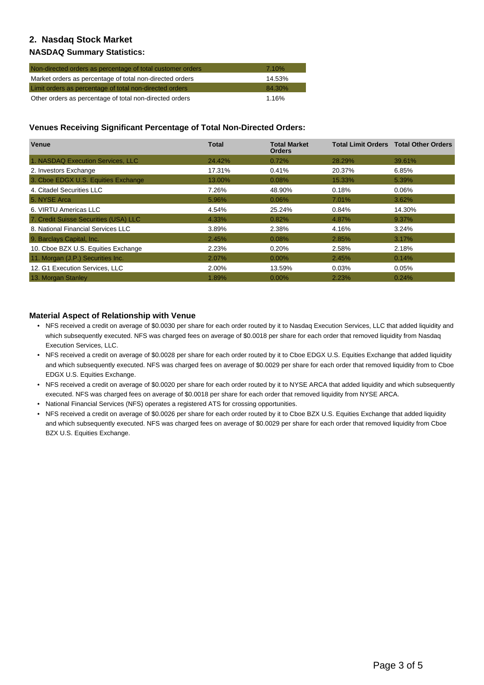# **2. Nasdaq Stock Market**

### **NASDAQ Summary Statistics:**

| Non-directed orders as percentage of total customer orders | 7.10%  |
|------------------------------------------------------------|--------|
| Market orders as percentage of total non-directed orders   | 14.53% |
| Limit orders as percentage of total non-directed orders    | 84.30% |
| Other orders as percentage of total non-directed orders    | 1.16%  |

### **Venues Receiving Significant Percentage of Total Non-Directed Orders:**

| <b>Venue</b>                          | Total  | <b>Total Market</b><br><b>Orders</b> | <b>Total Limit Orders</b> | <b>Total Other Orders</b> |
|---------------------------------------|--------|--------------------------------------|---------------------------|---------------------------|
| 1. NASDAQ Execution Services, LLC     | 24.42% | 0.72%                                | 28.29%                    | 39.61%                    |
| 2. Investors Exchange                 | 17.31% | 0.41%                                | 20.37%                    | 6.85%                     |
| 3. Cboe EDGX U.S. Equities Exchange   | 13.00% | 0.08%                                | 15.33%                    | 5.39%                     |
| 4. Citadel Securities LLC             | 7.26%  | 48.90%                               | 0.18%                     | 0.06%                     |
| 5. NYSE Arca                          | 5.96%  | $0.06\%$                             | 7.01%                     | 3.62%                     |
| 6. VIRTU Americas LLC                 | 4.54%  | 25.24%                               | 0.84%                     | 14.30%                    |
| 7. Credit Suisse Securities (USA) LLC | 4.33%  | 0.82%                                | 4.87%                     | 9.37%                     |
| 8. National Financial Services LLC    | 3.89%  | 2.38%                                | 4.16%                     | 3.24%                     |
| 9. Barclays Capital, Inc.             | 2.45%  | 0.08%                                | 2.85%                     | 3.17%                     |
| 10. Cboe BZX U.S. Equities Exchange   | 2.23%  | 0.20%                                | 2.58%                     | 2.18%                     |
| 11. Morgan (J.P.) Securities Inc.     | 2.07%  | $0.00\%$                             | 2.45%                     | 0.14%                     |
| 12. G1 Execution Services, LLC        | 2.00%  | 13.59%                               | 0.03%                     | 0.05%                     |
| 13. Morgan Stanley                    | 1.89%  | $0.00\%$                             | 2.23%                     | 0.24%                     |

### **Material Aspect of Relationship with Venue**

- NFS received a credit on average of \$0.0030 per share for each order routed by it to Nasdaq Execution Services, LLC that added liquidity and which subsequently executed. NFS was charged fees on average of \$0.0018 per share for each order that removed liquidity from Nasdaq Execution Services, LLC.
- NFS received a credit on average of \$0.0028 per share for each order routed by it to Cboe EDGX U.S. Equities Exchange that added liquidity and which subsequently executed. NFS was charged fees on average of \$0.0029 per share for each order that removed liquidity from to Cboe EDGX U.S. Equities Exchange.
- NFS received a credit on average of \$0.0020 per share for each order routed by it to NYSE ARCA that added liquidity and which subsequently executed. NFS was charged fees on average of \$0.0018 per share for each order that removed liquidity from NYSE ARCA.
- National Financial Services (NFS) operates a registered ATS for crossing opportunities.
- NFS received a credit on average of \$0.0026 per share for each order routed by it to Cboe BZX U.S. Equities Exchange that added liquidity and which subsequently executed. NFS was charged fees on average of \$0.0029 per share for each order that removed liquidity from Cboe BZX U.S. Equities Exchange.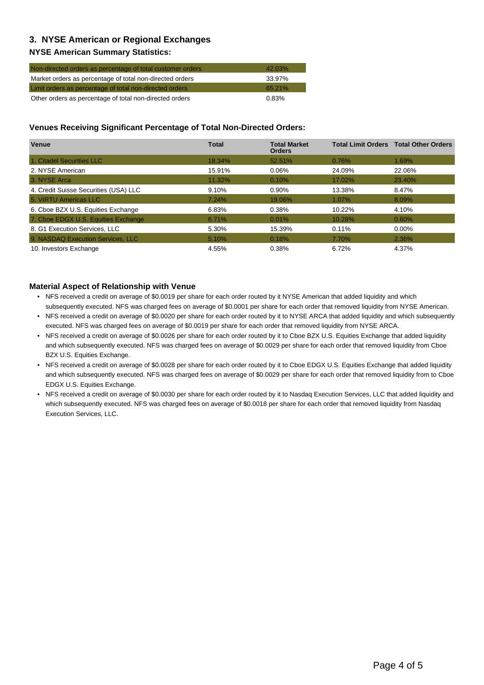# **3. NYSE American or Regional Exchanges**

### **NYSE American Summary Statistics:**

| Non-directed orders as percentage of total customer orders | $42.03\%$ |
|------------------------------------------------------------|-----------|
| Market orders as percentage of total non-directed orders   | 33.97%    |
| Limit orders as percentage of total non-directed orders    | 65.21%    |
| Other orders as percentage of total non-directed orders    | $0.83\%$  |

### **Venues Receiving Significant Percentage of Total Non-Directed Orders:**

| <b>Venue</b>                          | <b>Total</b> | <b>Total Market</b><br><b>Orders</b> |        | <b>Total Limit Orders Total Other Orders</b> |
|---------------------------------------|--------------|--------------------------------------|--------|----------------------------------------------|
| 1. Citadel Securities LLC             | 18.34%       | 52.51%                               | 0.76%  | 1.69%                                        |
| 2. NYSE American                      | 15.91%       | 0.06%                                | 24.09% | 22.06%                                       |
| 3. NYSE Arca                          | 11.32%       | 0.10%                                | 17.02% | 23.40%                                       |
| 4. Credit Suisse Securities (USA) LLC | 9.10%        | $0.90\%$                             | 13.38% | 8.47%                                        |
| 5. VIRTU Americas LLC                 | 7.24%        | 19.06%                               | 1.07%  | 8.09%                                        |
| 6. Cboe BZX U.S. Equities Exchange    | 6.83%        | 0.38%                                | 10.22% | 4.10%                                        |
| 7. Cboe EDGX U.S. Equities Exchange   | 6.71%        | 0.01%                                | 10.28% | 0.60%                                        |
| 8. G1 Execution Services, LLC         | 5.30%        | 15.39%                               | 0.11%  | $0.00\%$                                     |
| 9. NASDAQ Execution Services, LLC     | 5.10%        | 0.18%                                | 7.70%  | 2.36%                                        |
| 10. Investors Exchange                | 4.55%        | 0.38%                                | 6.72%  | 4.37%                                        |

#### **Material Aspect of Relationship with Venue**

- NFS received a credit on average of \$0.0019 per share for each order routed by it NYSE American that added liquidity and which subsequently executed. NFS was charged fees on average of \$0.0001 per share for each order that removed liquidity from NYSE American.
- NFS received a credit on average of \$0.0020 per share for each order routed by it to NYSE ARCA that added liquidity and which subsequently executed. NFS was charged fees on average of \$0.0019 per share for each order that removed liquidity from NYSE ARCA.
- NFS received a credit on average of \$0.0026 per share for each order routed by it to Cboe BZX U.S. Equities Exchange that added liquidity and which subsequently executed. NFS was charged fees on average of \$0.0029 per share for each order that removed liquidity from Cboe BZX U.S. Equities Exchange.
- NFS received a credit on average of \$0.0028 per share for each order routed by it to Cboe EDGX U.S. Equities Exchange that added liquidity and which subsequently executed. NFS was charged fees on average of \$0.0029 per share for each order that removed liquidity from to Cboe EDGX U.S. Equities Exchange.
- NFS received a credit on average of \$0.0030 per share for each order routed by it to Nasdaq Execution Services, LLC that added liquidity and which subsequently executed. NFS was charged fees on average of \$0.0018 per share for each order that removed liquidity from Nasdaq Execution Services, LLC.